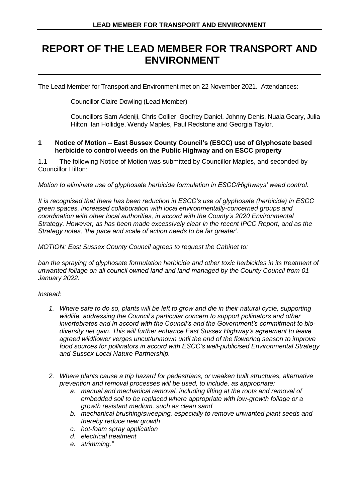# **REPORT OF THE LEAD MEMBER FOR TRANSPORT AND ENVIRONMENT**

The Lead Member for Transport and Environment met on 22 November 2021. Attendances:-

Councillor Claire Dowling (Lead Member)

Councillors Sam Adeniji, Chris Collier, Godfrey Daniel, Johnny Denis, Nuala Geary, Julia Hilton, Ian Hollidge, Wendy Maples, Paul Redstone and Georgia Taylor.

#### **1 Notice of Motion – East Sussex County Council's (ESCC) use of Glyphosate based herbicide to control weeds on the Public Highway and on ESCC property**

1.1 The following Notice of Motion was submitted by Councillor Maples, and seconded by Councillor Hilton:

#### *Motion to eliminate use of glyphosate herbicide formulation in ESCC/Highways' weed control.*

*It is recognised that there has been reduction in ESCC's use of glyphosate (herbicide) in ESCC green spaces, increased collaboration with local environmentally-concerned groups and coordination with other local authorities, in accord with the County's 2020 Environmental Strategy. However, as has been made excessively clear in the recent IPCC Report, and as the Strategy notes, 'the pace and scale of action needs to be far greater'.*

#### *MOTION: East Sussex County Council agrees to request the Cabinet to:*

*ban the spraying of glyphosate formulation herbicide and other toxic herbicides in its treatment of unwanted foliage on all council owned land and land managed by the County Council from 01 January 2022.*

#### *Instead:*

- *1. Where safe to do so, plants will be left to grow and die in their natural cycle, supporting wildlife, addressing the Council's particular concern to support pollinators and other invertebrates and in accord with the Council's and the Government's commitment to biodiversity net gain. This will further enhance East Sussex Highway's agreement to leave agreed wildflower verges uncut/unmown until the end of the flowering season to improve food sources for pollinators in accord with ESCC's well-publicised Environmental Strategy and Sussex Local Nature Partnership.*
- *2. Where plants cause a trip hazard for pedestrians, or weaken built structures, alternative prevention and removal processes will be used, to include, as appropriate:* 
	- *a. manual and mechanical removal, including lifting at the roots and removal of embedded soil to be replaced where appropriate with low-growth foliage or a growth resistant medium, such as clean sand*
	- *b. mechanical brushing/sweeping, especially to remove unwanted plant seeds and thereby reduce new growth*
	- *c. hot-foam spray application*
	- *d. electrical treatment*
	- *e. strimming."*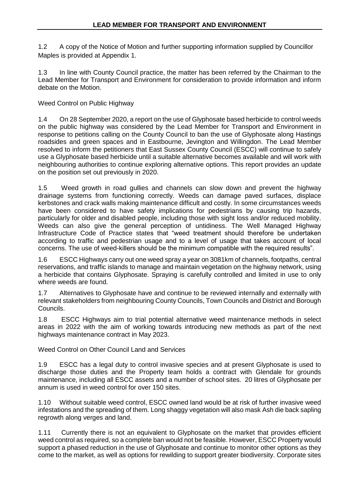1.2 A copy of the Notice of Motion and further supporting information supplied by Councillor Maples is provided at Appendix 1.

1.3 In line with County Council practice, the matter has been referred by the Chairman to the Lead Member for Transport and Environment for consideration to provide information and inform debate on the Motion.

Weed Control on Public Highway

1.4 On 28 September 2020, a report on the use of Glyphosate based herbicide to control weeds on the public highway was considered by the Lead Member for Transport and Environment in response to petitions calling on the County Council to ban the use of Glyphosate along Hastings roadsides and green spaces and in Eastbourne, Jevington and Willingdon. The Lead Member resolved to inform the petitioners that East Sussex County Council (ESCC) will continue to safely use a Glyphosate based herbicide until a suitable alternative becomes available and will work with neighbouring authorities to continue exploring alternative options. This report provides an update on the position set out previously in 2020.

1.5 Weed growth in road gullies and channels can slow down and prevent the highway drainage systems from functioning correctly. Weeds can damage paved surfaces, displace kerbstones and crack walls making maintenance difficult and costly. In some circumstances weeds have been considered to have safety implications for pedestrians by causing trip hazards, particularly for older and disabled people, including those with sight loss and/or reduced mobility. Weeds can also give the general perception of untidiness. The Well Managed Highway Infrastructure Code of Practice states that "weed treatment should therefore be undertaken according to traffic and pedestrian usage and to a level of usage that takes account of local concerns. The use of weed-killers should be the minimum compatible with the required results".

1.6 ESCC Highways carry out one weed spray a year on 3081km of channels, footpaths, central reservations, and traffic islands to manage and maintain vegetation on the highway network, using a herbicide that contains Glyphosate. Spraying is carefully controlled and limited in use to only where weeds are found.

1.7 Alternatives to Glyphosate have and continue to be reviewed internally and externally with relevant stakeholders from neighbouring County Councils, Town Councils and District and Borough Councils.

1.8 ESCC Highways aim to trial potential alternative weed maintenance methods in select areas in 2022 with the aim of working towards introducing new methods as part of the next highways maintenance contract in May 2023.

Weed Control on Other Council Land and Services

1.9 ESCC has a legal duty to control invasive species and at present Glyphosate is used to discharge those duties and the Property team holds a contract with Glendale for grounds maintenance, including all ESCC assets and a number of school sites. 20 litres of Glyphosate per annum is used in weed control for over 150 sites.

1.10 Without suitable weed control, ESCC owned land would be at risk of further invasive weed infestations and the spreading of them. Long shaggy vegetation will also mask Ash die back sapling regrowth along verges and land.

1.11 Currently there is not an equivalent to Glyphosate on the market that provides efficient weed control as required, so a complete ban would not be feasible. However, ESCC Property would support a phased reduction in the use of Glyphosate and continue to monitor other options as they come to the market, as well as options for rewilding to support greater biodiversity. Corporate sites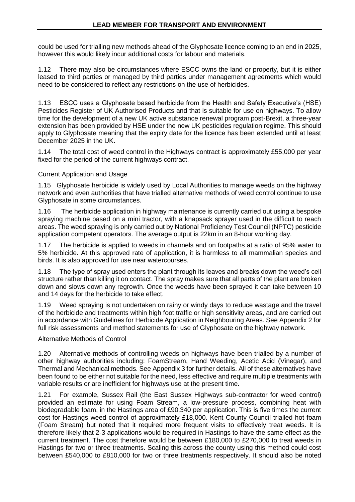could be used for trialling new methods ahead of the Glyphosate licence coming to an end in 2025, however this would likely incur additional costs for labour and materials.

1.12 There may also be circumstances where ESCC owns the land or property, but it is either leased to third parties or managed by third parties under management agreements which would need to be considered to reflect any restrictions on the use of herbicides.

1.13 ESCC uses a Glyphosate based herbicide from the Health and Safety Executive's (HSE) Pesticides Register of UK Authorised Products and that is suitable for use on highways. To allow time for the development of a new UK active substance renewal program post-Brexit, a three-year extension has been provided by HSE under the new UK pesticides regulation regime. This should apply to Glyphosate meaning that the expiry date for the licence has been extended until at least December 2025 in the UK.

1.14 The total cost of weed control in the Highways contract is approximately £55,000 per year fixed for the period of the current highways contract.

## Current Application and Usage

1.15 Glyphosate herbicide is widely used by Local Authorities to manage weeds on the highway network and even authorities that have trialled alternative methods of weed control continue to use Glyphosate in some circumstances.

1.16 The herbicide application in highway maintenance is currently carried out using a bespoke spraying machine based on a mini tractor, with a knapsack sprayer used in the difficult to reach areas. The weed spraying is only carried out by National Proficiency Test Council (NPTC) pesticide application competent operators. The average output is 22km in an 8-hour working day.

1.17 The herbicide is applied to weeds in channels and on footpaths at a ratio of 95% water to 5% herbicide. At this approved rate of application, it is harmless to all mammalian species and birds. It is also approved for use near watercourses.

1.18 The type of spray used enters the plant through its leaves and breaks down the weed's cell structure rather than killing it on contact. The spray makes sure that all parts of the plant are broken down and slows down any regrowth. Once the weeds have been sprayed it can take between 10 and 14 days for the herbicide to take effect.

1.19 Weed spraying is not undertaken on rainy or windy days to reduce wastage and the travel of the herbicide and treatments within high foot traffic or high sensitivity areas, and are carried out in accordance with Guidelines for Herbicide Application in Neighbouring Areas. See Appendix 2 for full risk assessments and method statements for use of Glyphosate on the highway network.

#### Alternative Methods of Control

1.20 Alternative methods of controlling weeds on highways have been trialled by a number of other highway authorities including: FoamStream, Hand Weeding, Acetic Acid (Vinegar), and Thermal and Mechanical methods. See Appendix 3 for further details. All of these alternatives have been found to be either not suitable for the need, less effective and require multiple treatments with variable results or are inefficient for highways use at the present time.

1.21 For example, Sussex Rail (the East Sussex Highways sub-contractor for weed control) provided an estimate for using Foam Stream, a low-pressure process, combining heat with biodegradable foam, in the Hastings area of £90,340 per application. This is five times the current cost for Hastings weed control of approximately £18,000. Kent County Council trialled hot foam (Foam Stream) but noted that it required more frequent visits to effectively treat weeds. It is therefore likely that 2-3 applications would be required in Hastings to have the same effect as the current treatment. The cost therefore would be between £180,000 to £270,000 to treat weeds in Hastings for two or three treatments. Scaling this across the county using this method could cost between £540,000 to £810,000 for two or three treatments respectively. It should also be noted